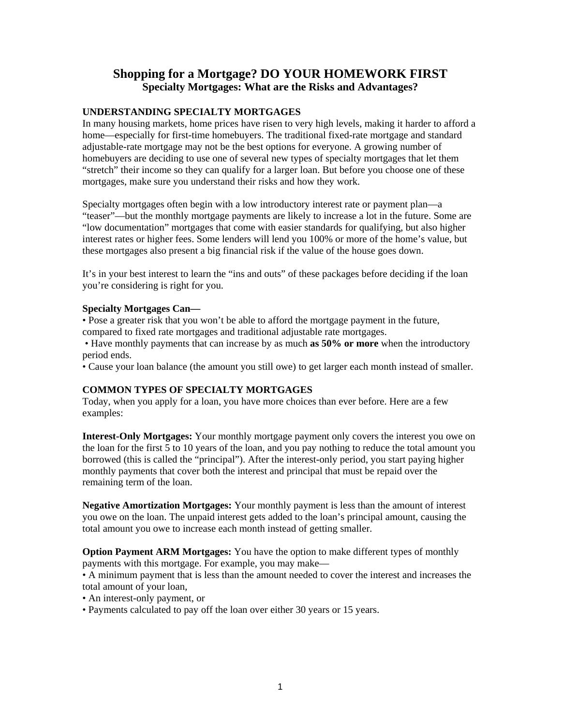# **Shopping for a Mortgage? DO YOUR HOMEWORK FIRST Specialty Mortgages: What are the Risks and Advantages?**

## **UNDERSTANDING SPECIALTY MORTGAGES**

In many housing markets, home prices have risen to very high levels, making it harder to afford a home—especially for first-time homebuyers. The traditional fixed-rate mortgage and standard adjustable-rate mortgage may not be the best options for everyone. A growing number of homebuyers are deciding to use one of several new types of specialty mortgages that let them "stretch" their income so they can qualify for a larger loan. But before you choose one of these mortgages, make sure you understand their risks and how they work.

Specialty mortgages often begin with a low introductory interest rate or payment plan—a "teaser"—but the monthly mortgage payments are likely to increase a lot in the future. Some are "low documentation" mortgages that come with easier standards for qualifying, but also higher interest rates or higher fees. Some lenders will lend you 100% or more of the home's value, but these mortgages also present a big financial risk if the value of the house goes down.

It's in your best interest to learn the "ins and outs" of these packages before deciding if the loan you're considering is right for you.

## **Specialty Mortgages Can—**

• Pose a greater risk that you won't be able to afford the mortgage payment in the future, compared to fixed rate mortgages and traditional adjustable rate mortgages.

 • Have monthly payments that can increase by as much **as 50% or more** when the introductory period ends.

• Cause your loan balance (the amount you still owe) to get larger each month instead of smaller.

# **COMMON TYPES OF SPECIALTY MORTGAGES**

Today, when you apply for a loan, you have more choices than ever before. Here are a few examples:

**Interest-Only Mortgages:** Your monthly mortgage payment only covers the interest you owe on the loan for the first 5 to 10 years of the loan, and you pay nothing to reduce the total amount you borrowed (this is called the "principal"). After the interest-only period, you start paying higher monthly payments that cover both the interest and principal that must be repaid over the remaining term of the loan.

**Negative Amortization Mortgages:** Your monthly payment is less than the amount of interest you owe on the loan. The unpaid interest gets added to the loan's principal amount, causing the total amount you owe to increase each month instead of getting smaller.

**Option Payment ARM Mortgages:** You have the option to make different types of monthly payments with this mortgage. For example, you may make—

• A minimum payment that is less than the amount needed to cover the interest and increases the total amount of your loan,

• An interest-only payment, or

• Payments calculated to pay off the loan over either 30 years or 15 years.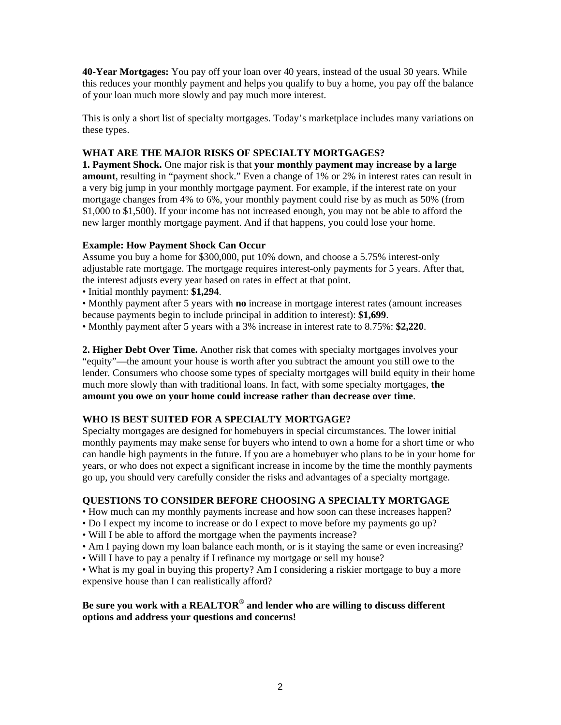**40-Year Mortgages:** You pay off your loan over 40 years, instead of the usual 30 years. While this reduces your monthly payment and helps you qualify to buy a home, you pay off the balance of your loan much more slowly and pay much more interest.

This is only a short list of specialty mortgages. Today's marketplace includes many variations on these types.

# **WHAT ARE THE MAJOR RISKS OF SPECIALTY MORTGAGES?**

**1. Payment Shock.** One major risk is that **your monthly payment may increase by a large amount**, resulting in "payment shock." Even a change of 1% or 2% in interest rates can result in a very big jump in your monthly mortgage payment. For example, if the interest rate on your mortgage changes from 4% to 6%, your monthly payment could rise by as much as 50% (from \$1,000 to \$1,500). If your income has not increased enough, you may not be able to afford the new larger monthly mortgage payment. And if that happens, you could lose your home.

# **Example: How Payment Shock Can Occur**

Assume you buy a home for \$300,000, put 10% down, and choose a 5.75% interest-only adjustable rate mortgage. The mortgage requires interest-only payments for 5 years. After that, the interest adjusts every year based on rates in effect at that point.

• Initial monthly payment: **\$1,294**.

• Monthly payment after 5 years with **no** increase in mortgage interest rates (amount increases because payments begin to include principal in addition to interest): **\$1,699**.

• Monthly payment after 5 years with a 3% increase in interest rate to 8.75%: **\$2,220**.

**2. Higher Debt Over Time.** Another risk that comes with specialty mortgages involves your "equity"—the amount your house is worth after you subtract the amount you still owe to the lender. Consumers who choose some types of specialty mortgages will build equity in their home much more slowly than with traditional loans. In fact, with some specialty mortgages, **the amount you owe on your home could increase rather than decrease over time**.

# **WHO IS BEST SUITED FOR A SPECIALTY MORTGAGE?**

Specialty mortgages are designed for homebuyers in special circumstances. The lower initial monthly payments may make sense for buyers who intend to own a home for a short time or who can handle high payments in the future. If you are a homebuyer who plans to be in your home for years, or who does not expect a significant increase in income by the time the monthly payments go up, you should very carefully consider the risks and advantages of a specialty mortgage.

# **QUESTIONS TO CONSIDER BEFORE CHOOSING A SPECIALTY MORTGAGE**

• How much can my monthly payments increase and how soon can these increases happen?

- Do I expect my income to increase or do I expect to move before my payments go up?
- Will I be able to afford the mortgage when the payments increase?
- Am I paying down my loan balance each month, or is it staying the same or even increasing?
- Will I have to pay a penalty if I refinance my mortgage or sell my house?
- What is my goal in buying this property? Am I considering a riskier mortgage to buy a more expensive house than I can realistically afford?

# **Be sure you work with a REALTOR**® **and lender who are willing to discuss different options and address your questions and concerns!**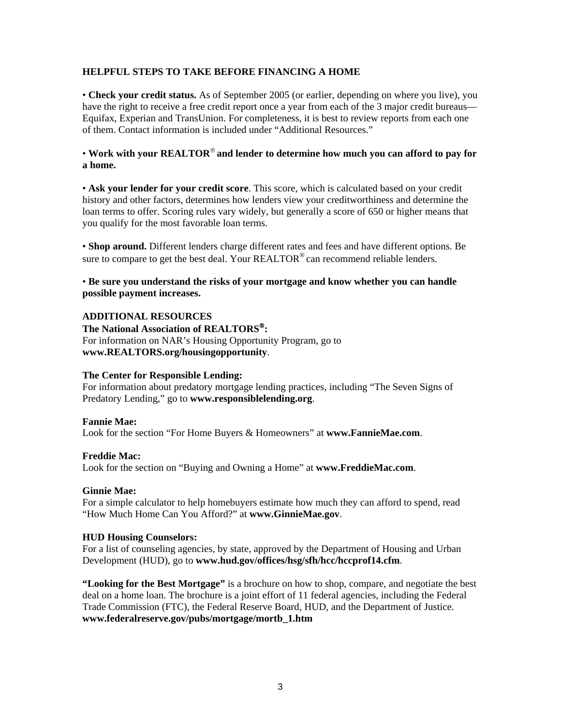## **HELPFUL STEPS TO TAKE BEFORE FINANCING A HOME**

• **Check your credit status.** As of September 2005 (or earlier, depending on where you live), you have the right to receive a free credit report once a year from each of the 3 major credit bureaus— Equifax, Experian and TransUnion. For completeness, it is best to review reports from each one of them. Contact information is included under "Additional Resources."

# • **Work with your REALTOR**® **and lender to determine how much you can afford to pay for a home.**

• **Ask your lender for your credit score**. This score, which is calculated based on your credit history and other factors, determines how lenders view your creditworthiness and determine the loan terms to offer. Scoring rules vary widely, but generally a score of 650 or higher means that you qualify for the most favorable loan terms.

• **Shop around.** Different lenders charge different rates and fees and have different options. Be sure to compare to get the best deal. Your  $REALTOR^{\circledcirc}$  can recommend reliable lenders.

## • **Be sure you understand the risks of your mortgage and know whether you can handle possible payment increases.**

## **ADDITIONAL RESOURCES**

**The National Association of REALTORS**®**:** For information on NAR's Housing Opportunity Program, go to **www.REALTORS.org/housingopportunity**.

#### **The Center for Responsible Lending:**

For information about predatory mortgage lending practices, including "The Seven Signs of Predatory Lending," go to **www.responsiblelending.org**.

#### **Fannie Mae:**

Look for the section "For Home Buyers & Homeowners" at **www.FannieMae.com**.

#### **Freddie Mac:**

Look for the section on "Buying and Owning a Home" at **www.FreddieMac.com**.

#### **Ginnie Mae:**

For a simple calculator to help homebuyers estimate how much they can afford to spend, read "How Much Home Can You Afford?" at **www.GinnieMae.gov**.

#### **HUD Housing Counselors:**

For a list of counseling agencies, by state, approved by the Department of Housing and Urban Development (HUD), go to **www.hud.gov/offices/hsg/sfh/hcc/hccprof14.cfm**.

**"Looking for the Best Mortgage"** is a brochure on how to shop, compare, and negotiate the best deal on a home loan. The brochure is a joint effort of 11 federal agencies, including the Federal Trade Commission (FTC), the Federal Reserve Board, HUD, and the Department of Justice. **www.federalreserve.gov/pubs/mortgage/mortb\_1.htm**